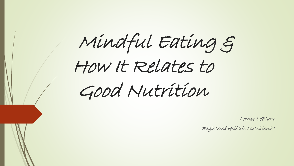Mindful Eating & How It Relates to Good Nutrition

Louise LeBlanc

Registered Holistic Nutritionist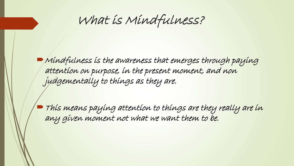What is Mindfulness?

 $\blacktriangleright$  Mindfulness is the awareness that emerges through paying attention on purpose, in the present moment, and non judgementally to things as they are.

This means paying attention to things are they really are in any given moment not what we want them to be.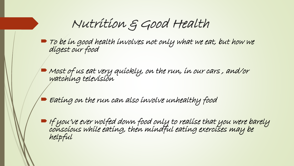Nutrition & Good Health

 $\blacktriangleright$  To be in good health involves not only what we eat, but how we digest our food

 $\blacktriangleright$  Most of us eat very quickly, on the run, in our cars, and/or watching television

Eating on the run can also involve unhealthy food

 $\blacksquare$  If you've ever wolfed down food only to realise that you were barely conscious while eating, then mindful eating exercises may be helpful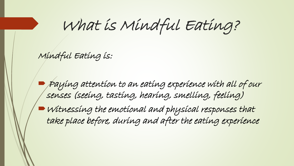What is Mindful Eating?

Mindful Eating is:

 Paying attention to an eating experience with all of our senses (seeing, tasting, hearing, smelling, feeling)

Witnessing the emotional and physical responses that take place before, during and after the eating experience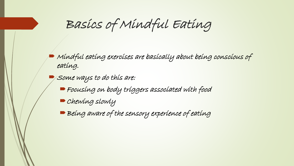Basics of Mindful Eating

 Mindful eating exercises are basically about being conscious of eating.

Some ways to do this are:

Focusing on body triggers associated with food

Chewing slowly

Being aware of the sensory experience of eating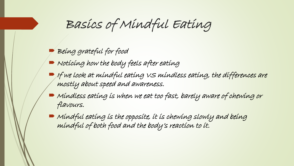# Basics of Mindful Eating

Being grateful for food

- $\blacksquare$  Noticing how the body feels after eating
- $\blacktriangleright$  If we look at mindful eating  ${\scriptstyle\mathcal{V}} S$  mindless eating, the differences are mostly about speed and awareness.
- $\blacktriangleright$  Mindless eating is when we eat too fast, barely aware of chewing or flavours.
- $\blacktriangleright$  Mindful eating is the opposite, it is chewing slowly and being mindful of both food and the body's reaction to it.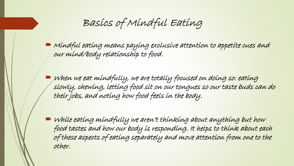Basics of Mindful Eating

 Mindful eating means paying exclusive attention to appetite cues and our mind/body relationship to food.

 $\blacktriangleright$  when we eat mindfully, we are totally focused on doing so: eating slowly, chewing, letting food sit on our tongues so our taste buds can do their jobs, and noting how food feels in the body.

 While eating mindfully we aren't thinking about anything but how food tastes and how our body is responding. It helps to think about each of these aspects of eating separately and move attention from one to the other.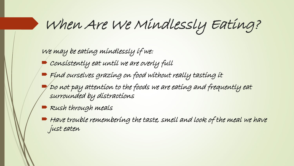When Are We Mindlessly Eating?

We may be eating mindlessly if we:

- Consistently eat until we are overly full
- Find ourselves grazing on food without really tasting it
- Do not pay attention to the foods we are eating and frequently eat surrounded by distractions
- Rush through meals
- Have trouble remembering the taste, smell and look of the meal we have just eaten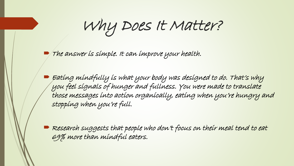Why Does It Matter?

The answer is simple. It can improve your health.

 Eating mindfully is what your body was designed to do. That's why you feel signals of hunger and fullness. You were made to translate those messages into action organically, eating when you're hungry and stopping when you're full.

 $\blacktriangleright$  Research suggests that people who don't focus on their meal tend to eat 69% more than mindful eaters.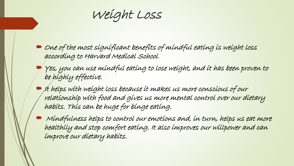Weight Loss

- $\Box$  One of the most significant benefits of mindful eating is weight loss according to Harvard Medical School
- Yes, you can use mindful eating to lose weight, and it has been proven to be highly effective.
- $\blacktriangleright$  it helps with weight loss because it makes us more conscious of our relationship with food and gives us more mental control over our dietary habits. This can be huge for binge eating.
- Mindfulness helps to control our emotions and, in turn, helps us eat more healthily and stop comfort eating. It also improves our willpower and can improve our dietary habits.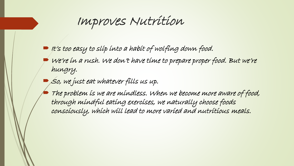## Improves Nutrition

- $\blacktriangleright$  It's too easy to slip into a habit of wolfing down food.
- We're in a rush. We don't have time to prepare proper food. But we're hungry.
- So, we just eat whatever fills us up.
- The problem is we are mindless. When we become more aware of food, through mindful eating exercises, we naturally choose foods consciously, which will lead to more varied and nutritious meals.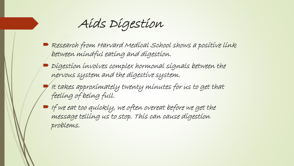Aids Digestion

- Research from Harvard Medícal School shows a positive link between mindful eating and digestion.
- $\blacktriangleright$  Digestion involves complex hormonal signals between the nervous system and the digestive system.
- It takes approximately twenty minutes for us to get that feeling of being full.
- $\blacktriangleright$  If we eat too quickly, we often overeat before we get the message telling us to stop. This can cause digestion problems.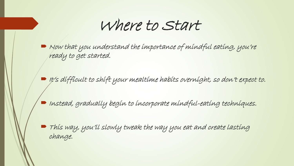## Where to Start

 $\blacktriangleright$  Now that you understand the importance of mindful eating, you're ready to get started.

It's difficult to shift your mealtime habits overnight, so don't expect to.

 $\blacksquare$  Instead, gradually begin to incorporate mindful-eating techniques.

 This way, you'll slowly tweak the way you eat and create lasting change.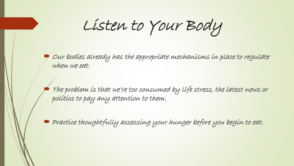Listen to Your Body

 Our bodies already has the appropriate mechanisms in place to regulate when we eat.

 The problem is that we're too consumed by life stress, the latest news or politics to pay any attention to them.

**Practice thoughtfully assessing your hunger before you begin to eat.**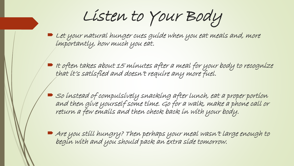Listen to Your Body

- $\blacktriangleright$  Let your natural hunger cues guide when you eat meals and, more importantly, how much you eat.
- $\blacktriangleright$  It often takes about 15 minutes after a meal for your body to recognize that it's satisfied and doesn't require any more fuel.
	- So instead of compulsively snacking after lunch, eat a proper portion and then give yourself some time. Go for a walk, make a phone call or return a few emails and then check back in with your body.
- Are you still hungry? Then perhaps your meal wasn't large enough to begin with and you should pack an extra side tomorrow.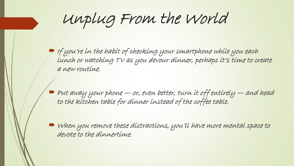Unplug From the World

 $\blacktriangleright$  If you're in the habit of checking your smartphone while you each lunch or watching TV as you devour dinner, perhaps it's time to create a new routine.

 $\blacktriangleright$  Put away your phone  $-$  or, even better, turn it off entirely  $-$  and head to the kitchen table for dinner instead of the coffee table.

 When you remove these distractions, you'll have more mental space to devote to the dinnertime.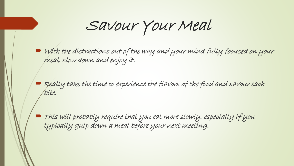Savour Your Meal

 $\blacktriangleright$  with the distractions out of the way and your mind fully focused on your meal, slow down and enjoy it.

 $\blacktriangleright$  Really take the time to experience the flavors of the food and savour each bite.

 This will probably require that you eat more slowly, especially if you typically gulp down a meal before your next meeting.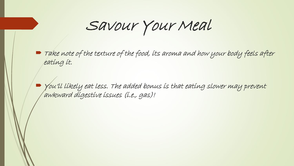Savour Your Meal

 $\blacktriangleright$  Take note of the texture of the food, its aroma and how your body feels after eating it.

 You'll likely eat less. The added bonus is that eating slower may prevent awkward digestive issues (i.e., gas)!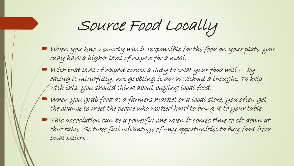Source Food Locally

- $\blacktriangleright$  when you know exactly who is responsible for the food on your plate, you may have a higher level of respect for a meal.
- $\blacktriangleright$  with that level of respect comes a duty to treat your food well  $-$  by eating it mindfully, not gobbling it down without a thought. To help with this, you should think about buying local food.
- When you grab food at a farmers market or a local store, you often get the chance to meet the people who worked hard to bring it to your table.
- This association can be a powerful one when it comes time to sit down at that table. So take full advantage of any opportunities to buy food from local sellers.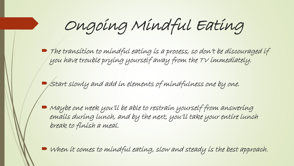Ongoing Mindful Eating

 The transition to mindful eating is a process, so don't be discouraged if you have trouble prying yourself away from the TV immediately.

 $\blacktriangleright$  Start slowly and add in elements of mindfulness one by one.

 Maybe one week you'll be able to restrain yourself from answering emails during lunch, and by the next, you'll take your entire lunch break to finish a meal.

When it comes to mindful eating, slow and steady is the best approach.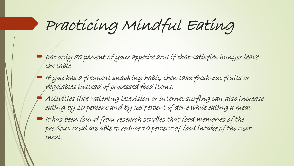Practicing Mindful Eating

- $\blacktriangleright$  Eat only 80 percent of your appetite and if that satisfies hunger leave the table
- $\blacktriangleright$  If you has a frequent snacking habit, then take fresh-cut fruits or vegetables instead of processed food items.
	- Activities like watching television or internet surfing can also increase eating by 10 percent and by 25 percent if done while eating a meal.
- It has been found from research studies that food memories of the previous meal are able to reduce 10 percent of food intake of the next meal.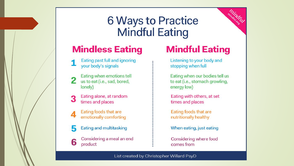### **6 Ways to Practice Mindful Eating**

#### **Mindless Eating**

- Eating past full and ignoring your body's signals
- Eating when emotions tell 2 us to eat (i.e., sad, bored, lonely)
- Eating alone, at random 3 times and places
	- Eating foods that are emotionally comforting
	- Eating and multitasking
- Considering a meal an end 6 product

#### **Mindful Eating**

mindful

Listening to your body and stopping when full

- Eating when our bodies tell us to eat (i.e., stomach growling, energy low)
- Eating with others, at set times and places
- Eating foods that are nutritionally healthy
- When eating, just eating
- Considering where food comes from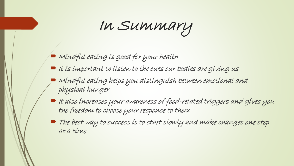In Summary

- $\blacktriangleright$  Mindful eating is good for your health
- $\blacksquare$  It is important to listen to the cues our bodies are giving us
	- Mindful eating helps you distinguish between emotional and physical hunger
- It also increases your awareness of food-related triggers and gives you the freedom to choose your response to them
- The best way to success is to start slowly and make changes one step at a time